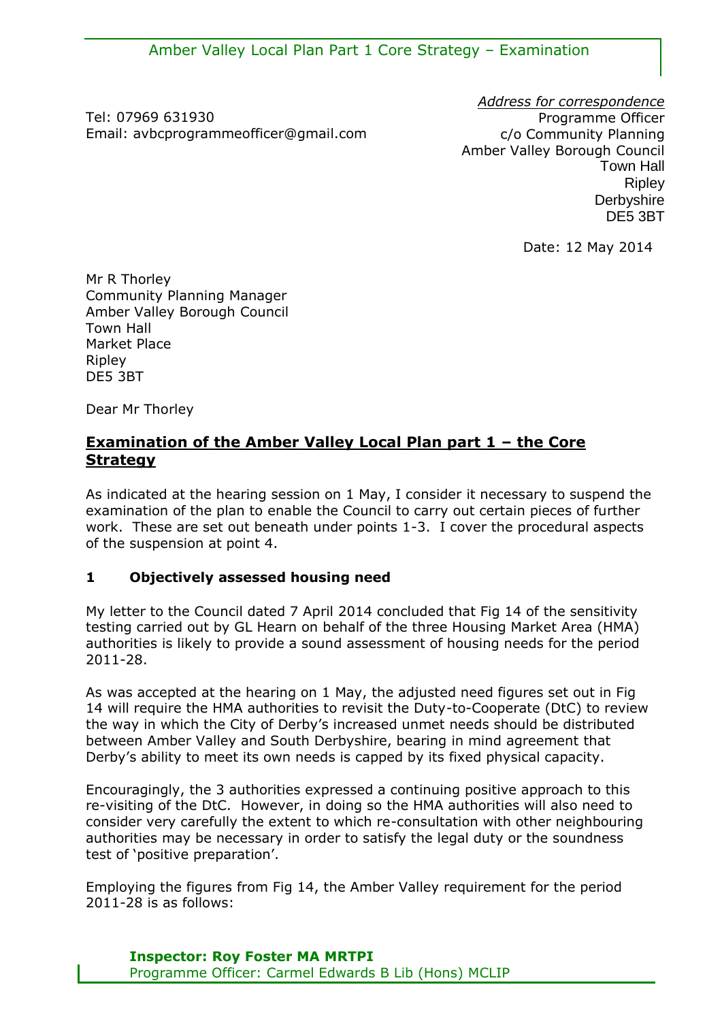Tel: 07969 631930 Email: avbcprogrammeofficer@gmail.com

*Address for correspondence* Programme Officer c/o Community Planning Amber Valley Borough Council Town Hall **Ripley Derbyshire** DE5 3BT

Date: 12 May 2014

Mr R Thorley Community Planning Manager Amber Valley Borough Council Town Hall Market Place Ripley DE5 3BT

Dear Mr Thorley

## **Examination of the Amber Valley Local Plan part 1 – the Core Strategy**

As indicated at the hearing session on 1 May, I consider it necessary to suspend the examination of the plan to enable the Council to carry out certain pieces of further work. These are set out beneath under points 1-3. I cover the procedural aspects of the suspension at point 4.

## **1 Objectively assessed housing need**

My letter to the Council dated 7 April 2014 concluded that Fig 14 of the sensitivity testing carried out by GL Hearn on behalf of the three Housing Market Area (HMA) authorities is likely to provide a sound assessment of housing needs for the period 2011-28.

As was accepted at the hearing on 1 May, the adjusted need figures set out in Fig 14 will require the HMA authorities to revisit the Duty-to-Cooperate (DtC) to review the way in which the City of Derby's increased unmet needs should be distributed between Amber Valley and South Derbyshire, bearing in mind agreement that Derby's ability to meet its own needs is capped by its fixed physical capacity.

Encouragingly, the 3 authorities expressed a continuing positive approach to this re-visiting of the DtC. However, in doing so the HMA authorities will also need to consider very carefully the extent to which re-consultation with other neighbouring authorities may be necessary in order to satisfy the legal duty or the soundness test of 'positive preparation'.

Employing the figures from Fig 14, the Amber Valley requirement for the period 2011-28 is as follows: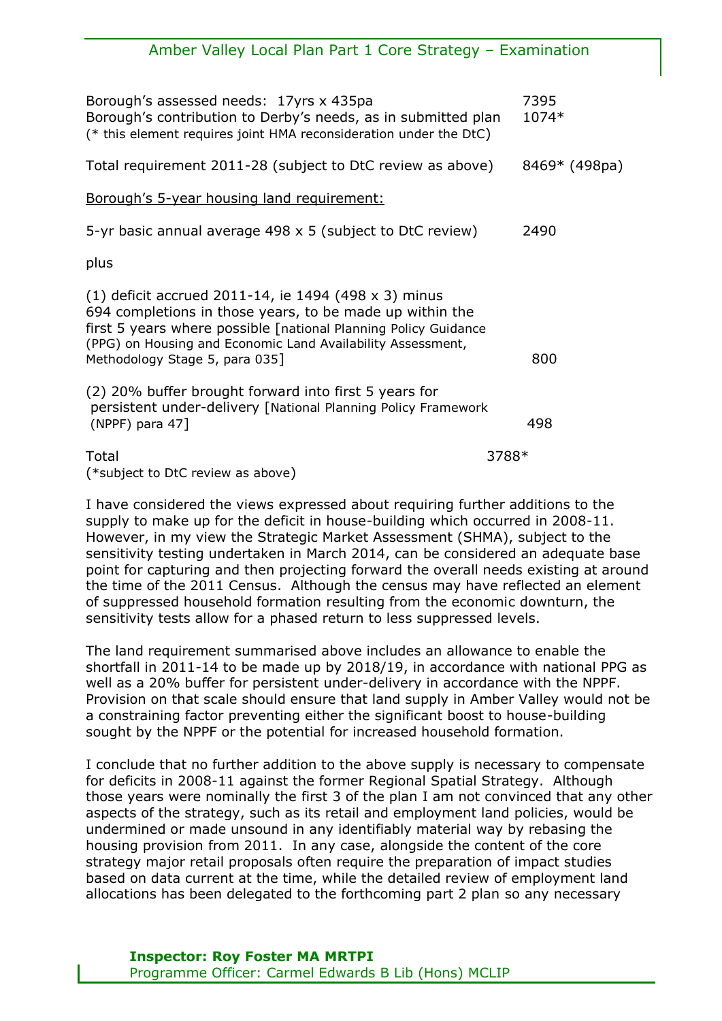# Amber Valley Local Plan Part 1 Core Strategy – Examination Borough's assessed needs: 17yrs x 435pa 1944 1945 Borough's contribution to Derby's needs, as in submitted plan 1074\* (\* this element requires joint HMA reconsideration under the DtC) Total requirement 2011-28 (subject to DtC review as above) 8469\* (498pa) Borough's 5-year housing land requirement: 5-yr basic annual average 498 x 5 (subject to DtC review) 2490 plus (1) deficit accrued 2011-14, ie 1494 (498 x 3) minus 694 completions in those years, to be made up within the first 5 years where possible [national Planning Policy Guidance (PPG) on Housing and Economic Land Availability Assessment, Methodology Stage 5, para 035] 800 (2) 20% buffer brought forward into first 5 years for persistent under-delivery [National Planning Policy Framework (NPPF) para 47] 498  $\Gamma$ otal  $3788*$ (\*subject to DtC review as above)

I have considered the views expressed about requiring further additions to the supply to make up for the deficit in house-building which occurred in 2008-11. However, in my view the Strategic Market Assessment (SHMA), subject to the sensitivity testing undertaken in March 2014, can be considered an adequate base point for capturing and then projecting forward the overall needs existing at around the time of the 2011 Census. Although the census may have reflected an element of suppressed household formation resulting from the economic downturn, the sensitivity tests allow for a phased return to less suppressed levels.

The land requirement summarised above includes an allowance to enable the shortfall in 2011-14 to be made up by 2018/19, in accordance with national PPG as well as a 20% buffer for persistent under-delivery in accordance with the NPPF. Provision on that scale should ensure that land supply in Amber Valley would not be a constraining factor preventing either the significant boost to house-building sought by the NPPF or the potential for increased household formation.

I conclude that no further addition to the above supply is necessary to compensate for deficits in 2008-11 against the former Regional Spatial Strategy. Although those years were nominally the first 3 of the plan I am not convinced that any other aspects of the strategy, such as its retail and employment land policies, would be undermined or made unsound in any identifiably material way by rebasing the housing provision from 2011. In any case, alongside the content of the core strategy major retail proposals often require the preparation of impact studies based on data current at the time, while the detailed review of employment land allocations has been delegated to the forthcoming part 2 plan so any necessary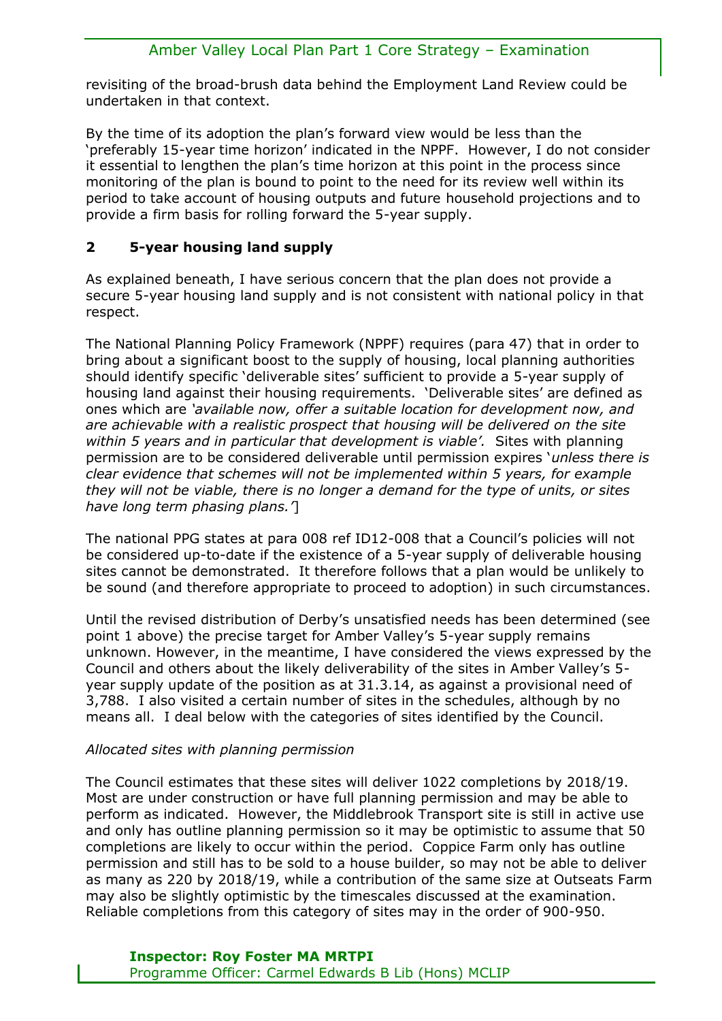revisiting of the broad-brush data behind the Employment Land Review could be undertaken in that context.

By the time of its adoption the plan's forward view would be less than the 'preferably 15-year time horizon' indicated in the NPPF. However, I do not consider it essential to lengthen the plan's time horizon at this point in the process since monitoring of the plan is bound to point to the need for its review well within its period to take account of housing outputs and future household projections and to provide a firm basis for rolling forward the 5-year supply.

# **2 5-year housing land supply**

As explained beneath, I have serious concern that the plan does not provide a secure 5-year housing land supply and is not consistent with national policy in that respect.

The National Planning Policy Framework (NPPF) requires (para 47) that in order to bring about a significant boost to the supply of housing, local planning authorities should identify specific 'deliverable sites' sufficient to provide a 5-year supply of housing land against their housing requirements. 'Deliverable sites' are defined as ones which are *'available now, offer a suitable location for development now, and are achievable with a realistic prospect that housing will be delivered on the site within 5 years and in particular that development is viable'.* Sites with planning permission are to be considered deliverable until permission expires '*unless there is clear evidence that schemes will not be implemented within 5 years, for example they will not be viable, there is no longer a demand for the type of units, or sites have long term phasing plans.'*]

The national PPG states at para 008 ref ID12-008 that a Council's policies will not be considered up-to-date if the existence of a 5-year supply of deliverable housing sites cannot be demonstrated. It therefore follows that a plan would be unlikely to be sound (and therefore appropriate to proceed to adoption) in such circumstances.

Until the revised distribution of Derby's unsatisfied needs has been determined (see point 1 above) the precise target for Amber Valley's 5-year supply remains unknown. However, in the meantime, I have considered the views expressed by the Council and others about the likely deliverability of the sites in Amber Valley's 5 year supply update of the position as at 31.3.14, as against a provisional need of 3,788. I also visited a certain number of sites in the schedules, although by no means all. I deal below with the categories of sites identified by the Council.

## *Allocated sites with planning permission*

The Council estimates that these sites will deliver 1022 completions by 2018/19. Most are under construction or have full planning permission and may be able to perform as indicated. However, the Middlebrook Transport site is still in active use and only has outline planning permission so it may be optimistic to assume that 50 completions are likely to occur within the period. Coppice Farm only has outline permission and still has to be sold to a house builder, so may not be able to deliver as many as 220 by 2018/19, while a contribution of the same size at Outseats Farm may also be slightly optimistic by the timescales discussed at the examination. Reliable completions from this category of sites may in the order of 900-950.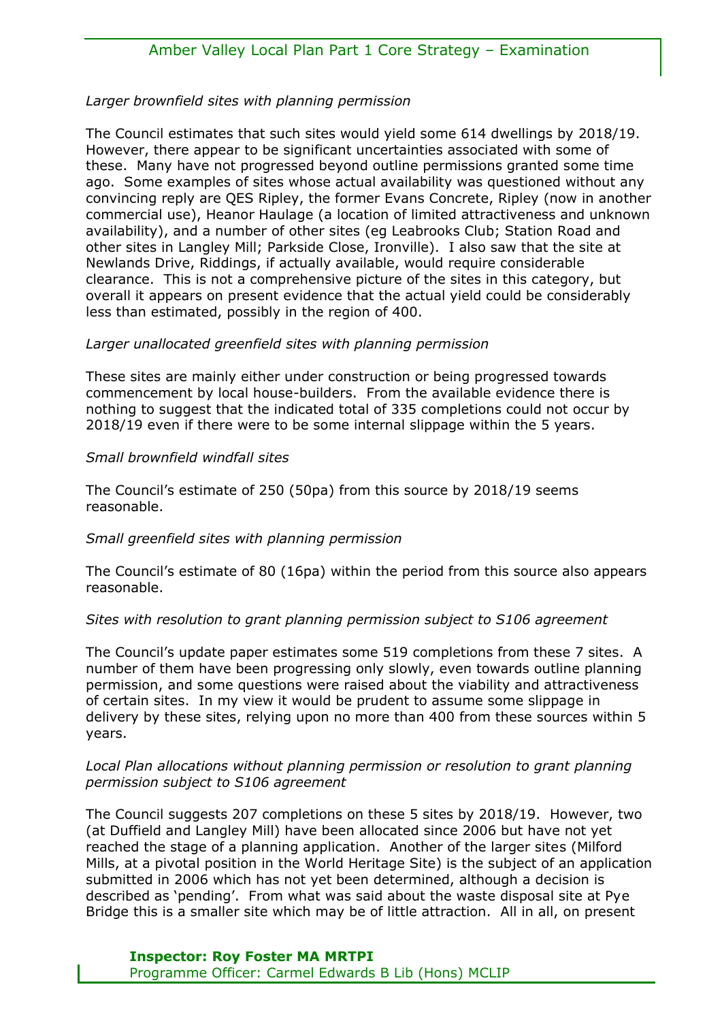#### *Larger brownfield sites with planning permission*

The Council estimates that such sites would yield some 614 dwellings by 2018/19. However, there appear to be significant uncertainties associated with some of these. Many have not progressed beyond outline permissions granted some time ago. Some examples of sites whose actual availability was questioned without any convincing reply are QES Ripley, the former Evans Concrete, Ripley (now in another commercial use), Heanor Haulage (a location of limited attractiveness and unknown availability), and a number of other sites (eg Leabrooks Club; Station Road and other sites in Langley Mill; Parkside Close, Ironville). I also saw that the site at Newlands Drive, Riddings, if actually available, would require considerable clearance. This is not a comprehensive picture of the sites in this category, but overall it appears on present evidence that the actual yield could be considerably less than estimated, possibly in the region of 400.

#### *Larger unallocated greenfield sites with planning permission*

These sites are mainly either under construction or being progressed towards commencement by local house-builders. From the available evidence there is nothing to suggest that the indicated total of 335 completions could not occur by 2018/19 even if there were to be some internal slippage within the 5 years.

#### *Small brownfield windfall sites*

The Council's estimate of 250 (50pa) from this source by 2018/19 seems reasonable.

#### *Small greenfield sites with planning permission*

The Council's estimate of 80 (16pa) within the period from this source also appears reasonable.

#### *Sites with resolution to grant planning permission subject to S106 agreement*

The Council's update paper estimates some 519 completions from these 7 sites. A number of them have been progressing only slowly, even towards outline planning permission, and some questions were raised about the viability and attractiveness of certain sites. In my view it would be prudent to assume some slippage in delivery by these sites, relying upon no more than 400 from these sources within 5 years.

#### *Local Plan allocations without planning permission or resolution to grant planning permission subject to S106 agreement*

The Council suggests 207 completions on these 5 sites by 2018/19. However, two (at Duffield and Langley Mill) have been allocated since 2006 but have not yet reached the stage of a planning application. Another of the larger sites (Milford Mills, at a pivotal position in the World Heritage Site) is the subject of an application submitted in 2006 which has not yet been determined, although a decision is described as 'pending'. From what was said about the waste disposal site at Pye Bridge this is a smaller site which may be of little attraction. All in all, on present

### **Inspector: Roy Foster MA MRTPI** Programme Officer: Carmel Edwards B Lib (Hons) MCLIP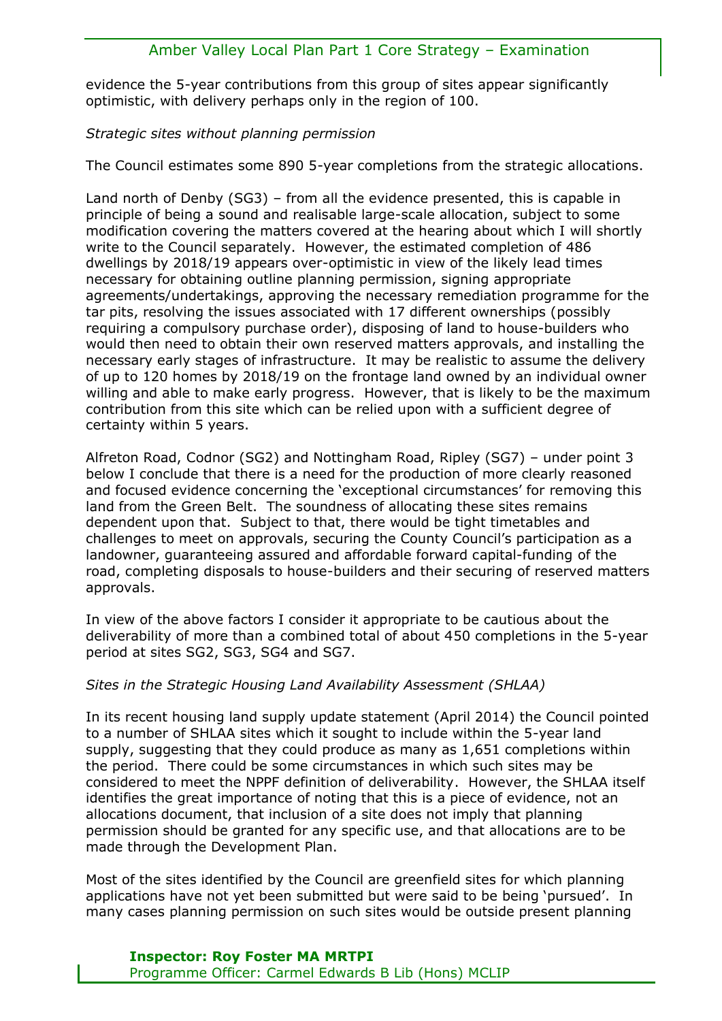evidence the 5-year contributions from this group of sites appear significantly optimistic, with delivery perhaps only in the region of 100.

*Strategic sites without planning permission*

The Council estimates some 890 5-year completions from the strategic allocations.

Land north of Denby (SG3) – from all the evidence presented, this is capable in principle of being a sound and realisable large-scale allocation, subject to some modification covering the matters covered at the hearing about which I will shortly write to the Council separately. However, the estimated completion of 486 dwellings by 2018/19 appears over-optimistic in view of the likely lead times necessary for obtaining outline planning permission, signing appropriate agreements/undertakings, approving the necessary remediation programme for the tar pits, resolving the issues associated with 17 different ownerships (possibly requiring a compulsory purchase order), disposing of land to house-builders who would then need to obtain their own reserved matters approvals, and installing the necessary early stages of infrastructure. It may be realistic to assume the delivery of up to 120 homes by 2018/19 on the frontage land owned by an individual owner willing and able to make early progress. However, that is likely to be the maximum contribution from this site which can be relied upon with a sufficient degree of certainty within 5 years.

Alfreton Road, Codnor (SG2) and Nottingham Road, Ripley (SG7) – under point 3 below I conclude that there is a need for the production of more clearly reasoned and focused evidence concerning the 'exceptional circumstances' for removing this land from the Green Belt. The soundness of allocating these sites remains dependent upon that. Subject to that, there would be tight timetables and challenges to meet on approvals, securing the County Council's participation as a landowner, guaranteeing assured and affordable forward capital-funding of the road, completing disposals to house-builders and their securing of reserved matters approvals.

In view of the above factors I consider it appropriate to be cautious about the deliverability of more than a combined total of about 450 completions in the 5-year period at sites SG2, SG3, SG4 and SG7.

#### *Sites in the Strategic Housing Land Availability Assessment (SHLAA)*

In its recent housing land supply update statement (April 2014) the Council pointed to a number of SHLAA sites which it sought to include within the 5-year land supply, suggesting that they could produce as many as 1,651 completions within the period. There could be some circumstances in which such sites may be considered to meet the NPPF definition of deliverability. However, the SHLAA itself identifies the great importance of noting that this is a piece of evidence, not an allocations document, that inclusion of a site does not imply that planning permission should be granted for any specific use, and that allocations are to be made through the Development Plan.

Most of the sites identified by the Council are greenfield sites for which planning applications have not yet been submitted but were said to be being 'pursued'. In many cases planning permission on such sites would be outside present planning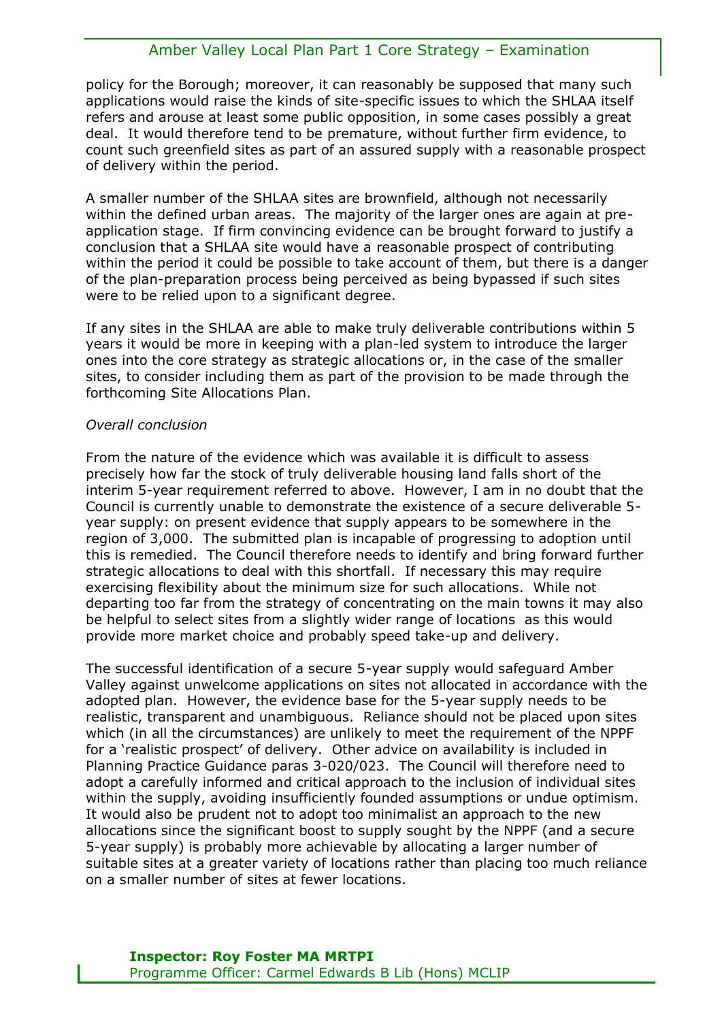policy for the Borough; moreover, it can reasonably be supposed that many such applications would raise the kinds of site-specific issues to which the SHLAA itself refers and arouse at least some public opposition, in some cases possibly a great deal. It would therefore tend to be premature, without further firm evidence, to count such greenfield sites as part of an assured supply with a reasonable prospect of delivery within the period.

A smaller number of the SHLAA sites are brownfield, although not necessarily within the defined urban areas. The majority of the larger ones are again at preapplication stage. If firm convincing evidence can be brought forward to justify a conclusion that a SHLAA site would have a reasonable prospect of contributing within the period it could be possible to take account of them, but there is a danger of the plan-preparation process being perceived as being bypassed if such sites were to be relied upon to a significant degree.

If any sites in the SHLAA are able to make truly deliverable contributions within 5 years it would be more in keeping with a plan-led system to introduce the larger ones into the core strategy as strategic allocations or, in the case of the smaller sites, to consider including them as part of the provision to be made through the forthcoming Site Allocations Plan.

#### *Overall conclusion*

From the nature of the evidence which was available it is difficult to assess precisely how far the stock of truly deliverable housing land falls short of the interim 5-year requirement referred to above. However, I am in no doubt that the Council is currently unable to demonstrate the existence of a secure deliverable 5 year supply: on present evidence that supply appears to be somewhere in the region of 3,000. The submitted plan is incapable of progressing to adoption until this is remedied. The Council therefore needs to identify and bring forward further strategic allocations to deal with this shortfall. If necessary this may require exercising flexibility about the minimum size for such allocations. While not departing too far from the strategy of concentrating on the main towns it may also be helpful to select sites from a slightly wider range of locations as this would provide more market choice and probably speed take-up and delivery.

The successful identification of a secure 5-year supply would safeguard Amber Valley against unwelcome applications on sites not allocated in accordance with the adopted plan. However, the evidence base for the 5-year supply needs to be realistic, transparent and unambiguous. Reliance should not be placed upon sites which (in all the circumstances) are unlikely to meet the requirement of the NPPF for a 'realistic prospect' of delivery. Other advice on availability is included in Planning Practice Guidance paras 3-020/023. The Council will therefore need to adopt a carefully informed and critical approach to the inclusion of individual sites within the supply, avoiding insufficiently founded assumptions or undue optimism. It would also be prudent not to adopt too minimalist an approach to the new allocations since the significant boost to supply sought by the NPPF (and a secure 5-year supply) is probably more achievable by allocating a larger number of suitable sites at a greater variety of locations rather than placing too much reliance on a smaller number of sites at fewer locations.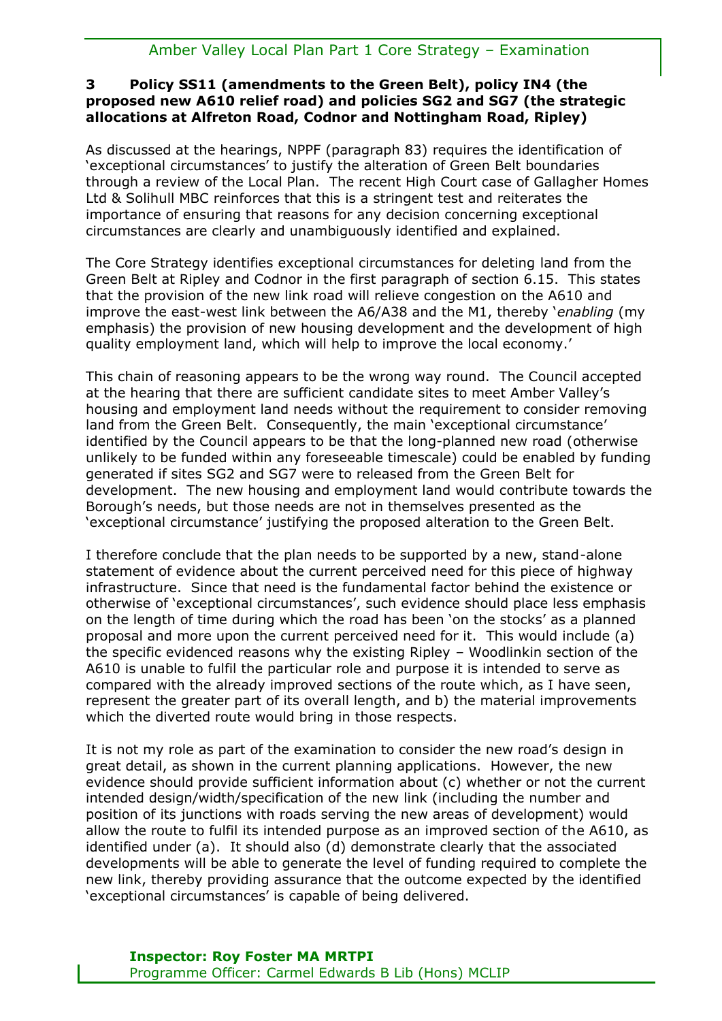## **3 Policy SS11 (amendments to the Green Belt), policy IN4 (the proposed new A610 relief road) and policies SG2 and SG7 (the strategic allocations at Alfreton Road, Codnor and Nottingham Road, Ripley)**

As discussed at the hearings, NPPF (paragraph 83) requires the identification of 'exceptional circumstances' to justify the alteration of Green Belt boundaries through a review of the Local Plan. The recent High Court case of Gallagher Homes Ltd & Solihull MBC reinforces that this is a stringent test and reiterates the importance of ensuring that reasons for any decision concerning exceptional circumstances are clearly and unambiguously identified and explained.

The Core Strategy identifies exceptional circumstances for deleting land from the Green Belt at Ripley and Codnor in the first paragraph of section 6.15. This states that the provision of the new link road will relieve congestion on the A610 and improve the east-west link between the A6/A38 and the M1, thereby '*enabling* (my emphasis) the provision of new housing development and the development of high quality employment land, which will help to improve the local economy.'

This chain of reasoning appears to be the wrong way round. The Council accepted at the hearing that there are sufficient candidate sites to meet Amber Valley's housing and employment land needs without the requirement to consider removing land from the Green Belt. Consequently, the main 'exceptional circumstance' identified by the Council appears to be that the long-planned new road (otherwise unlikely to be funded within any foreseeable timescale) could be enabled by funding generated if sites SG2 and SG7 were to released from the Green Belt for development. The new housing and employment land would contribute towards the Borough's needs, but those needs are not in themselves presented as the 'exceptional circumstance' justifying the proposed alteration to the Green Belt.

I therefore conclude that the plan needs to be supported by a new, stand-alone statement of evidence about the current perceived need for this piece of highway infrastructure. Since that need is the fundamental factor behind the existence or otherwise of 'exceptional circumstances', such evidence should place less emphasis on the length of time during which the road has been 'on the stocks' as a planned proposal and more upon the current perceived need for it. This would include (a) the specific evidenced reasons why the existing Ripley – Woodlinkin section of the A610 is unable to fulfil the particular role and purpose it is intended to serve as compared with the already improved sections of the route which, as I have seen, represent the greater part of its overall length, and b) the material improvements which the diverted route would bring in those respects.

It is not my role as part of the examination to consider the new road's design in great detail, as shown in the current planning applications. However, the new evidence should provide sufficient information about (c) whether or not the current intended design/width/specification of the new link (including the number and position of its junctions with roads serving the new areas of development) would allow the route to fulfil its intended purpose as an improved section of the A610, as identified under (a). It should also (d) demonstrate clearly that the associated developments will be able to generate the level of funding required to complete the new link, thereby providing assurance that the outcome expected by the identified 'exceptional circumstances' is capable of being delivered.